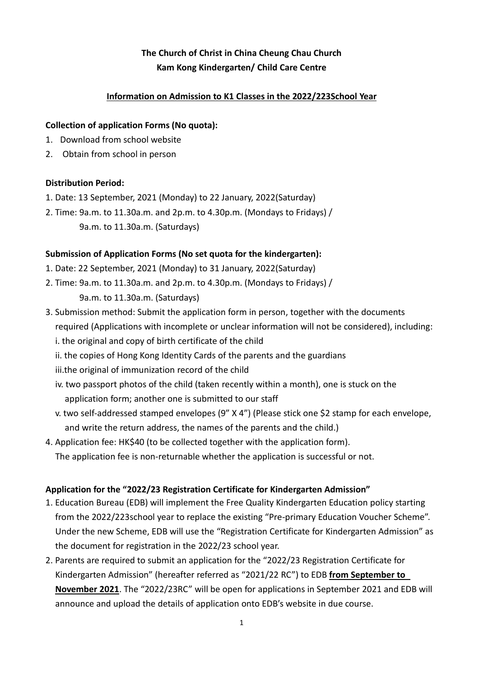# **The Church of Christ in China Cheung Chau Church Kam Kong Kindergarten/ Child Care Centre**

### **Information on Admission to K1 Classes in the 2022/223School Year**

#### **Collection of application Forms (No quota):**

- 1. Download from school website
- 2. Obtain from school in person

#### **Distribution Period:**

- 1. Date: 13 September, 2021 (Monday) to 22 January, 2022(Saturday)
- 2. Time: 9a.m. to 11.30a.m. and 2p.m. to 4.30p.m. (Mondays to Fridays) / 9a.m. to 11.30a.m. (Saturdays)

#### **Submission of Application Forms (No set quota for the kindergarten):**

- 1. Date: 22 September, 2021 (Monday) to 31 January, 2022(Saturday)
- 2. Time: 9a.m. to 11.30a.m. and 2p.m. to 4.30p.m. (Mondays to Fridays) / 9a.m. to 11.30a.m. (Saturdays)
- 3. Submission method: Submit the application form in person, together with the documents required (Applications with incomplete or unclear information will not be considered), including:
	- i. the original and copy of birth certificate of the child
	- ii. the copies of Hong Kong Identity Cards of the parents and the guardians
	- iii.the original of immunization record of the child
	- iv. two passport photos of the child (taken recently within a month), one is stuck on the application form; another one is submitted to our staff
	- v. two self-addressed stamped envelopes (9" X 4") (Please stick one \$2 stamp for each envelope, and write the return address, the names of the parents and the child.)
- 4. Application fee: HK\$40 (to be collected together with the application form). The application fee is non-returnable whether the application is successful or not.

#### **Application for the "2022/23 Registration Certificate for Kindergarten Admission"**

- 1. Education Bureau (EDB) will implement the Free Quality Kindergarten Education policy starting from the 2022/223school year to replace the existing "Pre-primary Education Voucher Scheme". Under the new Scheme, EDB will use the "Registration Certificate for Kindergarten Admission" as the document for registration in the 2022/23 school year.
- 2. Parents are required to submit an application for the "2022/23 Registration Certificate for Kindergarten Admission" (hereafter referred as "2021/22 RC") to EDB **from September to November 2021**. The "2022/23RC" will be open for applications in September 2021 and EDB will announce and upload the details of application onto EDB's website in due course.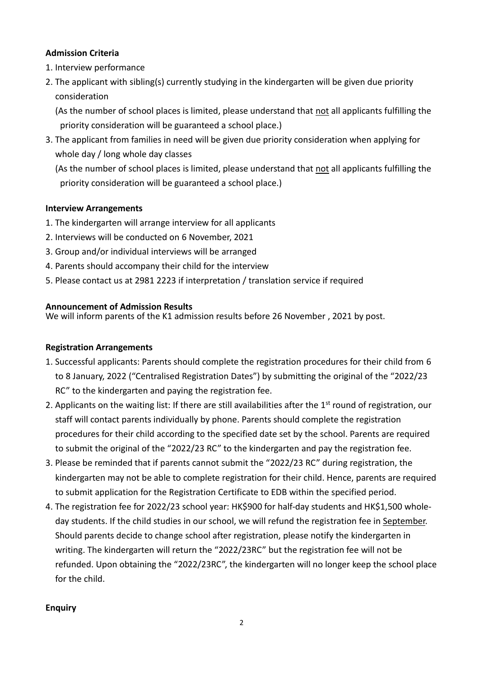### **Admission Criteria**

- 1. Interview performance
- 2. The applicant with sibling(s) currently studying in the kindergarten will be given due priority consideration

(As the number of school places is limited, please understand that not all applicants fulfilling the priority consideration will be guaranteed a school place.)

3. The applicant from families in need will be given due priority consideration when applying for whole day / long whole day classes

(As the number of school places is limited, please understand that not all applicants fulfilling the priority consideration will be guaranteed a school place.)

## **Interview Arrangements**

- 1. The kindergarten will arrange interview for all applicants
- 2. Interviews will be conducted on 6 November, 2021
- 3. Group and/or individual interviews will be arranged
- 4. Parents should accompany their child for the interview
- 5. Please contact us at 2981 2223 if interpretation / translation service if required

#### **Announcement of Admission Results**

We will inform parents of the K1 admission results before 26 November , 2021 by post.

#### **Registration Arrangements**

- 1. Successful applicants: Parents should complete the registration procedures for their child from 6 to 8 January, 2022 ("Centralised Registration Dates") by submitting the original of the "2022/23 RC" to the kindergarten and paying the registration fee.
- 2. Applicants on the waiting list: If there are still availabilities after the 1<sup>st</sup> round of registration, our staff will contact parents individually by phone. Parents should complete the registration procedures for their child according to the specified date set by the school. Parents are required to submit the original of the "2022/23 RC" to the kindergarten and pay the registration fee.
- 3. Please be reminded that if parents cannot submit the "2022/23 RC" during registration, the kindergarten may not be able to complete registration for their child. Hence, parents are required to submit application for the Registration Certificate to EDB within the specified period.
- 4. The registration fee for 2022/23 school year: HK\$900 for half-day students and HK\$1,500 wholeday students. If the child studies in our school, we will refund the registration fee in September. Should parents decide to change school after registration, please notify the kindergarten in writing. The kindergarten will return the "2022/23RC" but the registration fee will not be refunded. Upon obtaining the "2022/23RC", the kindergarten will no longer keep the school place for the child.

#### **Enquiry**